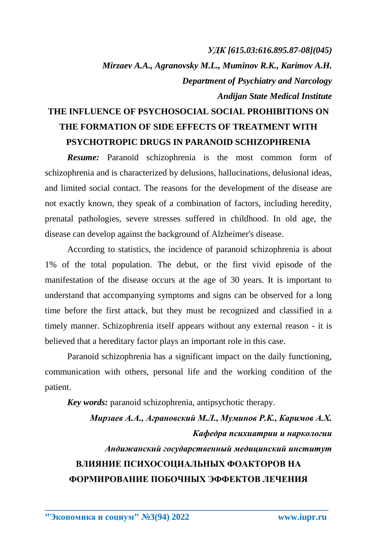## *УДК [615.03:616.895.87-08](045) Mirzaev A.A., Agranovsky M.L., Muminov R.K., Karimov A.H. Department of Psychiatry and Narcology Andijan State Medical Institute*

## **THE INFLUENCE OF PSYCHOSOCIAL SOCIAL PROHIBITIONS ON THE FORMATION OF SIDE EFFECTS OF TREATMENT WITH PSYCHOTROPIC DRUGS IN PARANOID SCHIZOPHRENIA**

**Resume:** Paranoid schizophrenia is the most common form of schizophrenia and is characterized by delusions, hallucinations, delusional ideas, and limited social contact. The reasons for the development of the disease are not exactly known, they speak of a combination of factors, including heredity, prenatal pathologies, severe stresses suffered in childhood. In old age, the disease can develop against the background of Alzheimer's disease.

According to statistics, the incidence of paranoid schizophrenia is about 1% of the total population. The debut, or the first vivid episode of the manifestation of the disease occurs at the age of 30 years. It is important to understand that accompanying symptoms and signs can be observed for a long time before the first attack, but they must be recognized and classified in a timely manner. Schizophrenia itself appears without any external reason - it is believed that a hereditary factor plays an important role in this case.

Paranoid schizophrenia has a significant impact on the daily functioning, communication with others, personal life and the working condition of the patient.

*Key words:* paranoid schizophrenia, antipsychotic therapy.

*Мирзаев А.А., Аграновский М.Л., Муминов Р.К., Каримов А.Х. Кафедра психиатрии и наркологии Андижанский государственный медицинский институт* **ВЛИЯНИЕ ПСИХОСОЦИАЛЬНЫХ ФОАКТОРОВ НА ФОРМИРОВАНИЕ ПОБОЧНЫХ ЭФФЕКТОВ ЛЕЧЕНИЯ**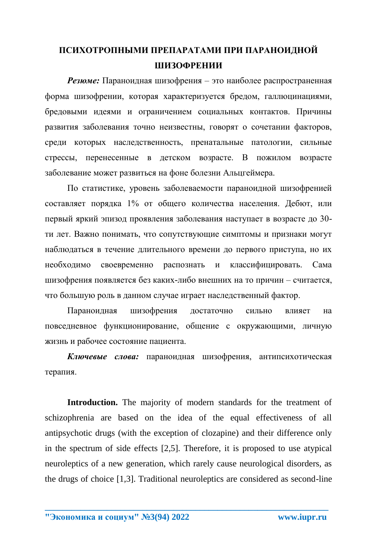## **ПСИХОТРОПНЫМИ ПРЕПАРАТАМИ ПРИ ПАРАНОИДНОЙ ШИЗОФРЕНИИ**

*Резюме:* Параноидная шизофрения – это наиболее распространенная форма шизофрении, которая характеризуется бредом, галлюцинациями, бредовыми идеями и ограничением социальных контактов. Причины развития заболевания точно неизвестны, говорят о сочетании факторов, среди которых наследственность, пренатальные патологии, сильные стрессы, перенесенные в детском возрасте. В пожилом возрасте заболевание может развиться на фоне болезни Альцгеймера.

По статистике, уровень заболеваемости параноидной шизофренией составляет порядка 1% от общего количества населения. Дебют, или первый яркий эпизод проявления заболевания наступает в возрасте до 30 ти лет. Важно понимать, что сопутствующие симптомы и признаки могут наблюдаться в течение длительного времени до первого приступа, но их необходимо своевременно распознать и классифицировать. Сама шизофрения появляется без каких-либо внешних на то причин – считается, что большую роль в данном случае играет наследственный фактор.

Параноидная шизофрения достаточно сильно влияет на повседневное функционирование, общение с окружающими, личную жизнь и рабочее состояние пациента.

*Ключевые слова:* параноидная шизофрения, антипсихотическая терапия.

Introduction. The majority of modern standards for the treatment of schizophrenia are based on the idea of the equal effectiveness of all antipsychotic drugs (with the exception of clozapine) and their difference only in the spectrum of side effects [2,5]. Therefore, it is proposed to use atypical neuroleptics of a new generation, which rarely cause neurological disorders, as the drugs of choice [1,3]. Traditional neuroleptics are considered as second-line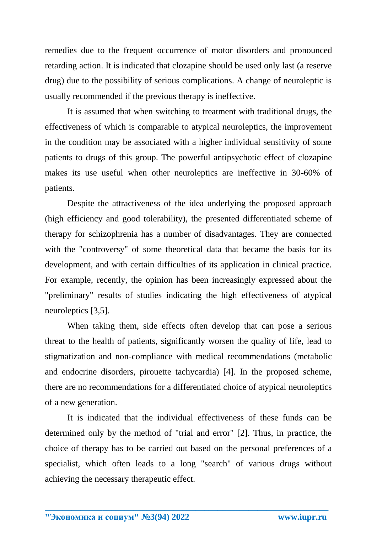remedies due to the frequent occurrence of motor disorders and pronounced retarding action. It is indicated that clozapine should be used only last (a reserve drug) due to the possibility of serious complications. A change of neuroleptic is usually recommended if the previous therapy is ineffective.

It is assumed that when switching to treatment with traditional drugs, the effectiveness of which is comparable to atypical neuroleptics, the improvement in the condition may be associated with a higher individual sensitivity of some patients to drugs of this group. The powerful antipsychotic effect of clozapine makes its use useful when other neuroleptics are ineffective in 30-60% of patients.

Despite the attractiveness of the idea underlying the proposed approach (high efficiency and good tolerability), the presented differentiated scheme of therapy for schizophrenia has a number of disadvantages. They are connected with the "controversy" of some theoretical data that became the basis for its development, and with certain difficulties of its application in clinical practice. For example, recently, the opinion has been increasingly expressed about the "preliminary" results of studies indicating the high effectiveness of atypical neuroleptics [3,5].

When taking them, side effects often develop that can pose a serious threat to the health of patients, significantly worsen the quality of life, lead to stigmatization and non-compliance with medical recommendations (metabolic and endocrine disorders, pirouette tachycardia) [4]. In the proposed scheme, there are no recommendations for a differentiated choice of atypical neuroleptics of a new generation.

It is indicated that the individual effectiveness of these funds can be determined only by the method of "trial and error" [2]. Thus, in practice, the choice of therapy has to be carried out based on the personal preferences of a specialist, which often leads to a long "search" of various drugs without achieving the necessary therapeutic effect.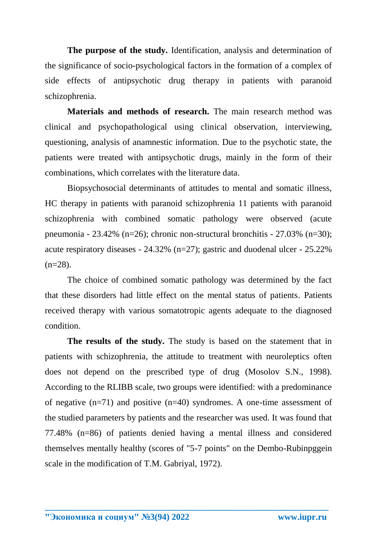**The purpose of the study.** Identification, analysis and determination of the significance of socio-psychological factors in the formation of a complex of side effects of antipsychotic drug therapy in patients with paranoid schizophrenia.

**Materials and methods of research.** The main research method was clinical and psychopathological using clinical observation, interviewing, questioning, analysis of anamnestic information. Due to the psychotic state, the patients were treated with antipsychotic drugs, mainly in the form of their combinations, which correlates with the literature data.

Biopsychosocial determinants of attitudes to mental and somatic illness, HC therapy in patients with paranoid schizophrenia 11 patients with paranoid schizophrenia with combined somatic pathology were observed (acute pneumonia - 23.42% (n=26); chronic non-structural bronchitis - 27.03% (n=30); acute respiratory diseases - 24.32% (n=27); gastric and duodenal ulcer - 25.22%  $(n=28)$ .

The choice of combined somatic pathology was determined by the fact that these disorders had little effect on the mental status of patients. Patients received therapy with various somatotropic agents adequate to the diagnosed condition.

**The results of the study.** The study is based on the statement that in patients with schizophrenia, the attitude to treatment with neuroleptics often does not depend on the prescribed type of drug (Mosolov S.N., 1998). According to the RLIBB scale, two groups were identified: with a predominance of negative  $(n=71)$  and positive  $(n=40)$  syndromes. A one-time assessment of the studied parameters by patients and the researcher was used. It was found that 77.48% (n=86) of patients denied having a mental illness and considered themselves mentally healthy (scores of "5-7 points" on the Dembo-Rubinpggein scale in the modification of T.M. Gabriyal, 1972).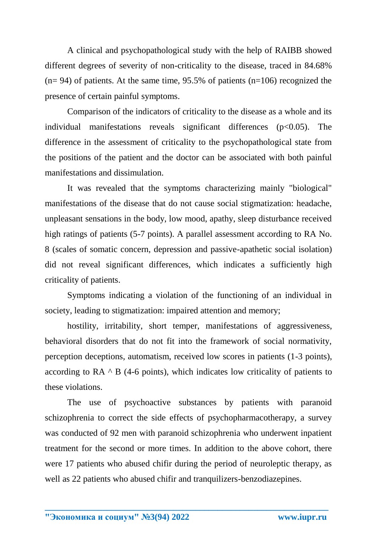A clinical and psychopathological study with the help of RAIBB showed different degrees of severity of non-criticality to the disease, traced in 84.68%  $(n= 94)$  of patients. At the same time, 95.5% of patients  $(n=106)$  recognized the presence of certain painful symptoms.

Comparison of the indicators of criticality to the disease as a whole and its individual manifestations reveals significant differences  $(p<0.05)$ . The difference in the assessment of criticality to the psychopathological state from the positions of the patient and the doctor can be associated with both painful manifestations and dissimulation.

It was revealed that the symptoms characterizing mainly "biological" manifestations of the disease that do not cause social stigmatization: headache, unpleasant sensations in the body, low mood, apathy, sleep disturbance received high ratings of patients (5-7 points). A parallel assessment according to RA No. 8 (scales of somatic concern, depression and passive-apathetic social isolation) did not reveal significant differences, which indicates a sufficiently high criticality of patients.

Symptoms indicating a violation of the functioning of an individual in society, leading to stigmatization: impaired attention and memory;

hostility, irritability, short temper, manifestations of aggressiveness, behavioral disorders that do not fit into the framework of social normativity, perception deceptions, automatism, received low scores in patients (1-3 points), according to  $RA \triangle B$  (4-6 points), which indicates low criticality of patients to these violations.

The use of psychoactive substances by patients with paranoid schizophrenia to correct the side effects of psychopharmacotherapy, a survey was conducted of 92 men with paranoid schizophrenia who underwent inpatient treatment for the second or more times. In addition to the above cohort, there were 17 patients who abused chifir during the period of neuroleptic therapy, as well as 22 patients who abused chifir and tranquilizers-benzodiazepines.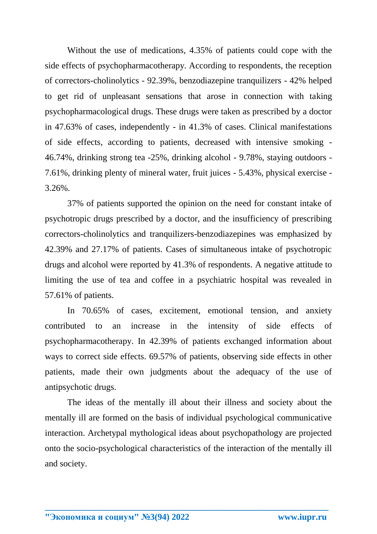Without the use of medications, 4.35% of patients could cope with the side effects of psychopharmacotherapy. According to respondents, the reception of correctors-cholinolytics - 92.39%, benzodiazepine tranquilizers - 42% helped to get rid of unpleasant sensations that arose in connection with taking psychopharmacological drugs. These drugs were taken as prescribed by a doctor in 47.63% of cases, independently - in 41.3% of cases. Clinical manifestations of side effects, according to patients, decreased with intensive smoking - 46.74%, drinking strong tea -25%, drinking alcohol - 9.78%, staying outdoors - 7.61%, drinking plenty of mineral water, fruit juices - 5.43%, physical exercise - 3.26%.

37% of patients supported the opinion on the need for constant intake of psychotropic drugs prescribed by a doctor, and the insufficiency of prescribing correctors-cholinolytics and tranquilizers-benzodiazepines was emphasized by 42.39% and 27.17% of patients. Cases of simultaneous intake of psychotropic drugs and alcohol were reported by 41.3% of respondents. A negative attitude to limiting the use of tea and coffee in a psychiatric hospital was revealed in 57.61% of patients.

In 70.65% of cases, excitement, emotional tension, and anxiety contributed to an increase in the intensity of side effects of psychopharmacotherapy. In 42.39% of patients exchanged information about ways to correct side effects. 69.57% of patients, observing side effects in other patients, made their own judgments about the adequacy of the use of antipsychotic drugs.

The ideas of the mentally ill about their illness and society about the mentally ill are formed on the basis of individual psychological communicative interaction. Archetypal mythological ideas about psychopathology are projected onto the socio-psychological characteristics of the interaction of the mentally ill and society.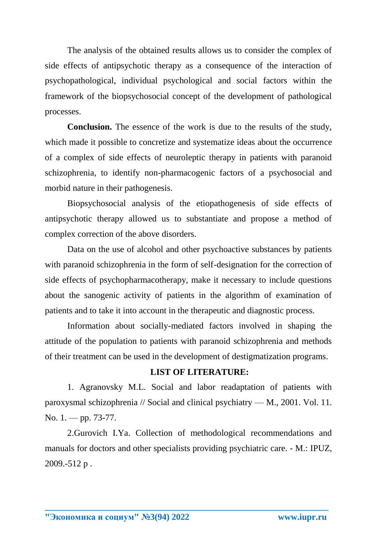The analysis of the obtained results allows us to consider the complex of side effects of antipsychotic therapy as a consequence of the interaction of psychopathological, individual psychological and social factors within the framework of the biopsychosocial concept of the development of pathological processes.

**Conclusion.** The essence of the work is due to the results of the study, which made it possible to concretize and systematize ideas about the occurrence of a complex of side effects of neuroleptic therapy in patients with paranoid schizophrenia, to identify non-pharmacogenic factors of a psychosocial and morbid nature in their pathogenesis.

Biopsychosocial analysis of the etiopathogenesis of side effects of antipsychotic therapy allowed us to substantiate and propose a method of complex correction of the above disorders.

Data on the use of alcohol and other psychoactive substances by patients with paranoid schizophrenia in the form of self-designation for the correction of side effects of psychopharmacotherapy, make it necessary to include questions about the sanogenic activity of patients in the algorithm of examination of patients and to take it into account in the therapeutic and diagnostic process.

Information about socially-mediated factors involved in shaping the attitude of the population to patients with paranoid schizophrenia and methods of their treatment can be used in the development of destigmatization programs.

## **LIST OF LITERATURE:**

1. Agranovsky M.L. Social and labor readaptation of patients with paroxysmal schizophrenia // Social and clinical psychiatry — M., 2001. Vol. 11. No. 1. — pp. 73-77.

2.Gurovich I.Ya. Collection of methodological recommendations and manuals for doctors and other specialists providing psychiatric care. - M.: IPUZ, 2009.-512 p .